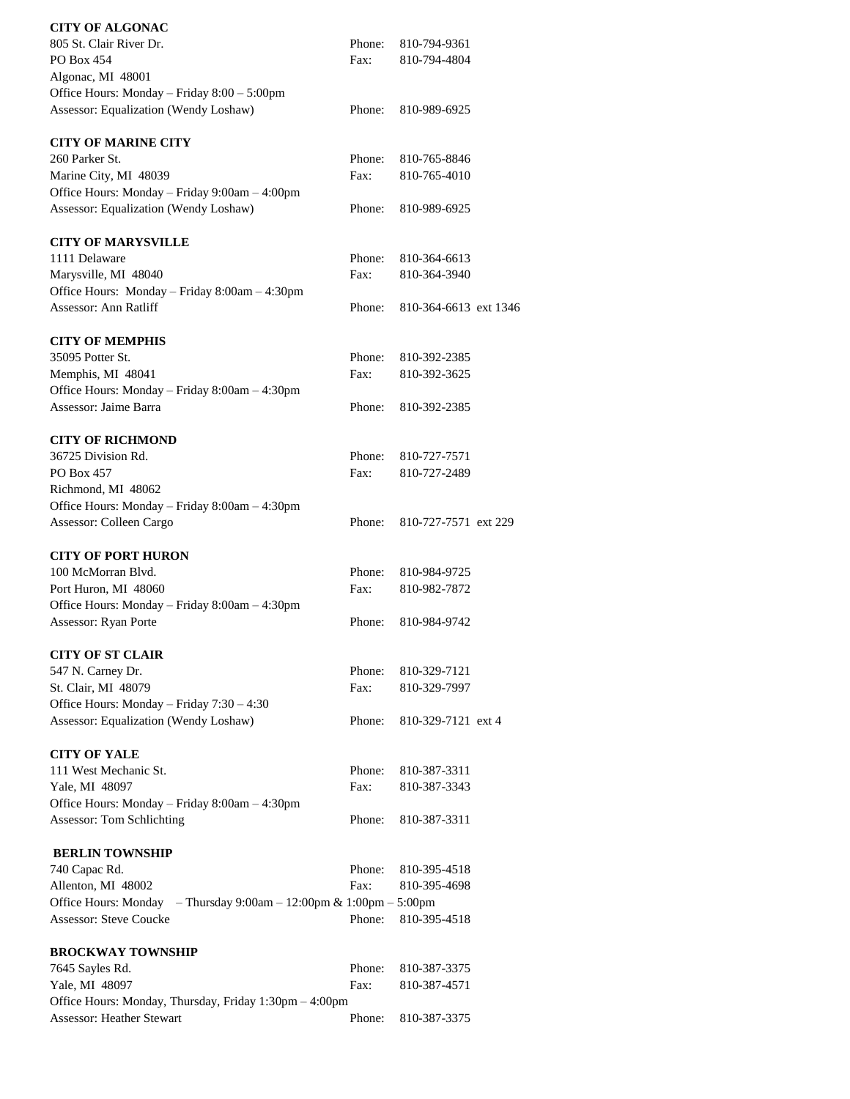| <b>CITY OF ALGONAC</b>                                                               |        |                       |  |
|--------------------------------------------------------------------------------------|--------|-----------------------|--|
| 805 St. Clair River Dr.                                                              | Phone: | 810-794-9361          |  |
| PO Box 454                                                                           | Fax:   | 810-794-4804          |  |
| Algonac, MI 48001                                                                    |        |                       |  |
| Office Hours: Monday - Friday 8:00 - 5:00pm<br>Assessor: Equalization (Wendy Loshaw) | Phone: | 810-989-6925          |  |
|                                                                                      |        |                       |  |
| <b>CITY OF MARINE CITY</b>                                                           |        |                       |  |
| 260 Parker St.                                                                       | Phone: | 810-765-8846          |  |
| Marine City, MI 48039                                                                | Fax:   | 810-765-4010          |  |
| Office Hours: Monday - Friday 9:00am - 4:00pm                                        |        |                       |  |
| Assessor: Equalization (Wendy Loshaw)                                                | Phone: | 810-989-6925          |  |
| <b>CITY OF MARYSVILLE</b>                                                            |        |                       |  |
| 1111 Delaware                                                                        | Phone: | 810-364-6613          |  |
| Marysville, MI 48040                                                                 | Fax:   | 810-364-3940          |  |
| Office Hours: Monday - Friday 8:00am - 4:30pm                                        |        |                       |  |
| Assessor: Ann Ratliff                                                                | Phone: | 810-364-6613 ext 1346 |  |
| <b>CITY OF MEMPHIS</b>                                                               |        |                       |  |
| 35095 Potter St.                                                                     | Phone: | 810-392-2385          |  |
| Memphis, MI 48041                                                                    | Fax:   | 810-392-3625          |  |
| Office Hours: Monday - Friday 8:00am - 4:30pm                                        |        |                       |  |
| Assessor: Jaime Barra                                                                | Phone: | 810-392-2385          |  |
|                                                                                      |        |                       |  |
| <b>CITY OF RICHMOND</b>                                                              |        |                       |  |
| 36725 Division Rd.                                                                   | Phone: | 810-727-7571          |  |
| PO Box 457                                                                           | Fax:   | 810-727-2489          |  |
| Richmond, MI 48062                                                                   |        |                       |  |
| Office Hours: Monday - Friday 8:00am - 4:30pm                                        |        |                       |  |
| Assessor: Colleen Cargo                                                              | Phone: | 810-727-7571 ext 229  |  |
| <b>CITY OF PORT HURON</b>                                                            |        |                       |  |
| 100 McMorran Blvd.                                                                   | Phone: | 810-984-9725          |  |
| Port Huron, MI 48060                                                                 | Fax:   | 810-982-7872          |  |
| Office Hours: Monday – Friday 8:00am – 4:30pm                                        |        |                       |  |
| Assessor: Ryan Porte                                                                 | Phone: | 810-984-9742          |  |
|                                                                                      |        |                       |  |
| <b>CITY OF ST CLAIR</b>                                                              |        |                       |  |
| 547 N. Carney Dr.                                                                    | Phone: | 810-329-7121          |  |
| St. Clair, MI 48079<br>Office Hours: Monday - Friday 7:30 - 4:30                     | Fax:   | 810-329-7997          |  |
| Assessor: Equalization (Wendy Loshaw)                                                | Phone: | 810-329-7121 ext 4    |  |
|                                                                                      |        |                       |  |
| <b>CITY OF YALE</b>                                                                  |        |                       |  |
| 111 West Mechanic St.                                                                | Phone: | 810-387-3311          |  |
| Yale, MI 48097                                                                       | Fax:   | 810-387-3343          |  |
| Office Hours: Monday - Friday 8:00am - 4:30pm                                        |        |                       |  |
| Assessor: Tom Schlichting                                                            | Phone: | 810-387-3311          |  |
| <b>BERLIN TOWNSHIP</b>                                                               |        |                       |  |
| 740 Capac Rd.                                                                        | Phone: | 810-395-4518          |  |
| Allenton, MI 48002                                                                   | Fax:   | 810-395-4698          |  |
| Office Hours: Monday – Thursday $9:00$ am – $12:00$ pm & $1:00$ pm – $5:00$ pm       |        |                       |  |
| <b>Assessor: Steve Coucke</b>                                                        | Phone: | 810-395-4518          |  |
| <b>BROCKWAY TOWNSHIP</b>                                                             |        |                       |  |
| 7645 Sayles Rd.                                                                      | Phone: | 810-387-3375          |  |
| Yale, MI 48097                                                                       | Fax:   | 810-387-4571          |  |
| Office Hours: Monday, Thursday, Friday 1:30pm - 4:00pm                               |        |                       |  |
| <b>Assessor: Heather Stewart</b>                                                     | Phone: | 810-387-3375          |  |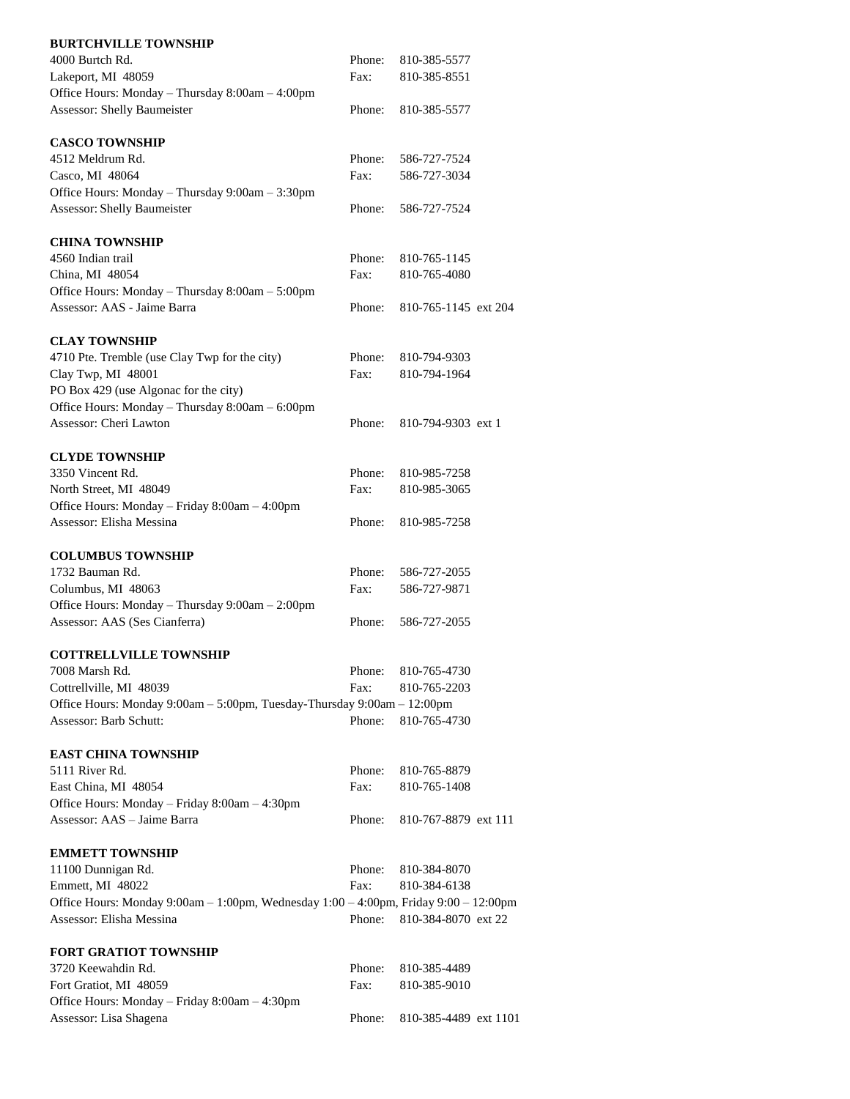| <b>BURTCHVILLE TOWNSHIP</b>                                                          |        |                       |  |
|--------------------------------------------------------------------------------------|--------|-----------------------|--|
| 4000 Burtch Rd.                                                                      | Phone: | 810-385-5577          |  |
| Lakeport, MI 48059                                                                   | Fax:   | 810-385-8551          |  |
| Office Hours: Monday - Thursday 8:00am - 4:00pm                                      |        |                       |  |
| <b>Assessor: Shelly Baumeister</b>                                                   | Phone: | 810-385-5577          |  |
| <b>CASCO TOWNSHIP</b>                                                                |        |                       |  |
| 4512 Meldrum Rd.                                                                     | Phone: | 586-727-7524          |  |
| Casco, MI 48064                                                                      | Fax:   | 586-727-3034          |  |
| Office Hours: Monday - Thursday 9:00am - 3:30pm                                      |        |                       |  |
| Assessor: Shelly Baumeister                                                          | Phone: | 586-727-7524          |  |
| <b>CHINA TOWNSHIP</b>                                                                |        |                       |  |
| 4560 Indian trail                                                                    | Phone: | 810-765-1145          |  |
| China, MI 48054                                                                      | Fax:   | 810-765-4080          |  |
| Office Hours: Monday - Thursday 8:00am - 5:00pm                                      |        |                       |  |
| Assessor: AAS - Jaime Barra                                                          | Phone: | 810-765-1145 ext 204  |  |
| <b>CLAY TOWNSHIP</b>                                                                 |        |                       |  |
| 4710 Pte. Tremble (use Clay Twp for the city)                                        | Phone: | 810-794-9303          |  |
| Clay Twp, MI 48001                                                                   | Fax:   | 810-794-1964          |  |
| PO Box 429 (use Algonac for the city)                                                |        |                       |  |
| Office Hours: Monday - Thursday 8:00am - 6:00pm                                      |        |                       |  |
| Assessor: Cheri Lawton                                                               | Phone: | 810-794-9303 ext 1    |  |
| <b>CLYDE TOWNSHIP</b>                                                                |        |                       |  |
| 3350 Vincent Rd.                                                                     | Phone: | 810-985-7258          |  |
| North Street, MI 48049                                                               | Fax:   | 810-985-3065          |  |
| Office Hours: Monday - Friday 8:00am - 4:00pm                                        |        |                       |  |
| Assessor: Elisha Messina                                                             | Phone: | 810-985-7258          |  |
| <b>COLUMBUS TOWNSHIP</b>                                                             |        |                       |  |
| 1732 Bauman Rd.                                                                      | Phone: | 586-727-2055          |  |
| Columbus, MI 48063                                                                   | Fax:   | 586-727-9871          |  |
| Office Hours: Monday - Thursday 9:00am - 2:00pm                                      |        |                       |  |
| Assessor: AAS (Ses Cianferra)                                                        | Phone: | 586-727-2055          |  |
| <b>COTTRELLVILLE TOWNSHIP</b>                                                        |        |                       |  |
| 7008 Marsh Rd.                                                                       | Phone: | 810-765-4730          |  |
| Cottrellville, MI 48039                                                              | Fax:   | 810-765-2203          |  |
| Office Hours: Monday 9:00am - 5:00pm, Tuesday-Thursday 9:00am - 12:00pm              |        |                       |  |
| Assessor: Barb Schutt:                                                               | Phone: | 810-765-4730          |  |
| <b>EAST CHINA TOWNSHIP</b>                                                           |        |                       |  |
| 5111 River Rd.                                                                       | Phone: | 810-765-8879          |  |
| East China, MI 48054                                                                 | Fax:   | 810-765-1408          |  |
| Office Hours: Monday - Friday 8:00am - 4:30pm                                        |        |                       |  |
| Assessor: AAS - Jaime Barra                                                          | Phone: | 810-767-8879 ext 111  |  |
| <b>EMMETT TOWNSHIP</b>                                                               |        |                       |  |
| 11100 Dunnigan Rd.                                                                   | Phone: | 810-384-8070          |  |
| Emmett, MI 48022                                                                     | Fax:   | 810-384-6138          |  |
| Office Hours: Monday 9:00am - 1:00pm, Wednesday 1:00 - 4:00pm, Friday 9:00 - 12:00pm |        |                       |  |
| Assessor: Elisha Messina                                                             | Phone: | 810-384-8070 ext 22   |  |
| <b>FORT GRATIOT TOWNSHIP</b>                                                         |        |                       |  |
| 3720 Keewahdin Rd.                                                                   | Phone: | 810-385-4489          |  |
| Fort Gratiot, MI 48059                                                               | Fax:   | 810-385-9010          |  |
| Office Hours: Monday - Friday 8:00am - 4:30pm                                        |        |                       |  |
| Assessor: Lisa Shagena                                                               | Phone: | 810-385-4489 ext 1101 |  |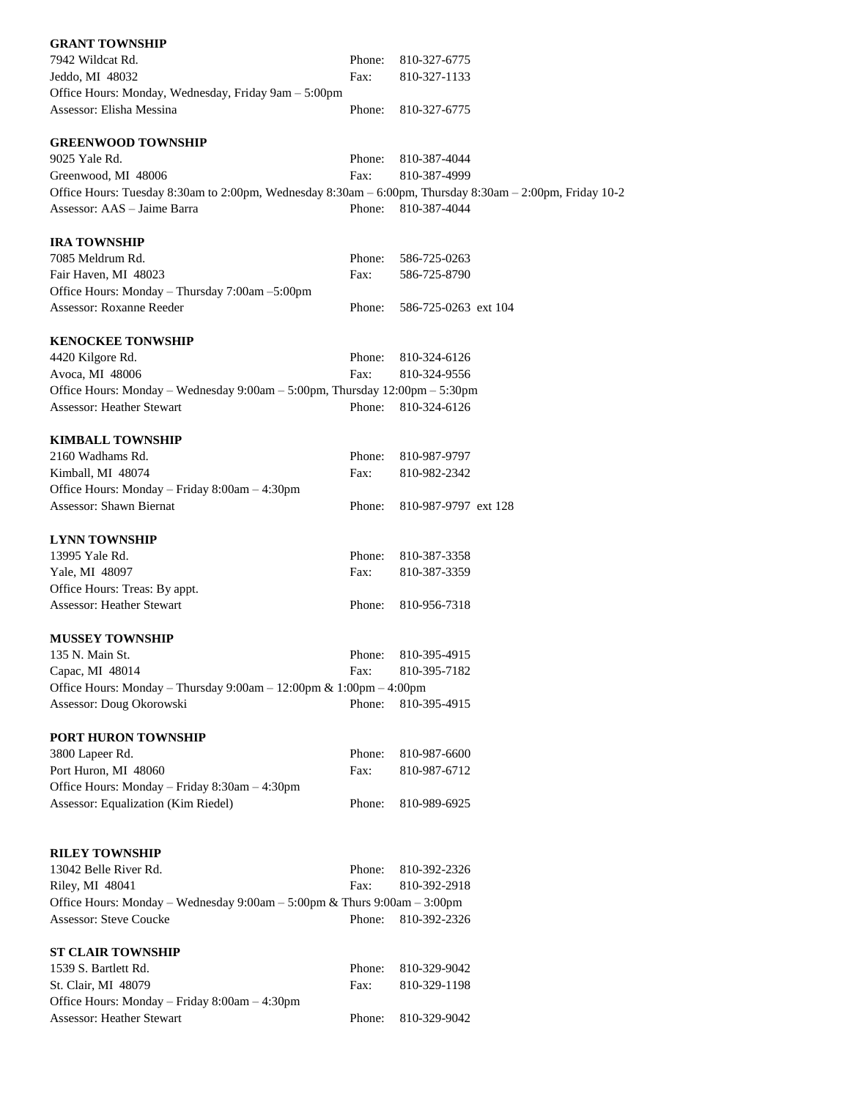| <b>GRANT TOWNSHIP</b>                                                                                    |        |                      |
|----------------------------------------------------------------------------------------------------------|--------|----------------------|
| 7942 Wildcat Rd.                                                                                         | Phone: | 810-327-6775         |
| Jeddo, MI 48032                                                                                          | Fax:   | 810-327-1133         |
| Office Hours: Monday, Wednesday, Friday 9am - 5:00pm                                                     |        |                      |
| Assessor: Elisha Messina                                                                                 | Phone: | 810-327-6775         |
| <b>GREENWOOD TOWNSHIP</b>                                                                                |        |                      |
| 9025 Yale Rd.                                                                                            | Phone: | 810-387-4044         |
| Greenwood, MI 48006                                                                                      | Fax:   | 810-387-4999         |
| Office Hours: Tuesday 8:30am to 2:00pm, Wednesday 8:30am - 6:00pm, Thursday 8:30am - 2:00pm, Friday 10-2 |        |                      |
| Assessor: AAS - Jaime Barra                                                                              | Phone: | 810-387-4044         |
| <b>IRA TOWNSHIP</b>                                                                                      |        |                      |
| 7085 Meldrum Rd.                                                                                         | Phone: | 586-725-0263         |
| Fair Haven, MI 48023                                                                                     | Fax:   | 586-725-8790         |
| Office Hours: Monday - Thursday 7:00am -5:00pm                                                           |        |                      |
| Assessor: Roxanne Reeder                                                                                 |        |                      |
|                                                                                                          | Phone: | 586-725-0263 ext 104 |
| <b>KENOCKEE TONWSHIP</b>                                                                                 |        |                      |
| 4420 Kilgore Rd.                                                                                         | Phone: | 810-324-6126         |
| Avoca, MI 48006                                                                                          | Fax:   | 810-324-9556         |
| Office Hours: Monday - Wednesday 9:00am - 5:00pm, Thursday 12:00pm - 5:30pm                              |        |                      |
| Assessor: Heather Stewart                                                                                | Phone: | 810-324-6126         |
| <b>KIMBALL TOWNSHIP</b>                                                                                  |        |                      |
| 2160 Wadhams Rd.                                                                                         | Phone: | 810-987-9797         |
|                                                                                                          | Fax:   | 810-982-2342         |
| Kimball, MI 48074                                                                                        |        |                      |
| Office Hours: Monday - Friday 8:00am - 4:30pm                                                            |        |                      |
| <b>Assessor: Shawn Biernat</b>                                                                           | Phone: | 810-987-9797 ext 128 |
| <b>LYNN TOWNSHIP</b>                                                                                     |        |                      |
| 13995 Yale Rd.                                                                                           | Phone: | 810-387-3358         |
| Yale, MI 48097                                                                                           | Fax:   | 810-387-3359         |
| Office Hours: Treas: By appt.                                                                            |        |                      |
| <b>Assessor: Heather Stewart</b>                                                                         | Phone: | 810-956-7318         |
| <b>MUSSEY TOWNSHIP</b>                                                                                   |        |                      |
| 135 N. Main St.                                                                                          | Phone: | 810-395-4915         |
|                                                                                                          |        | 810-395-7182         |
| Capac, MI 48014                                                                                          | Fax:   |                      |
| Office Hours: Monday - Thursday 9:00am - 12:00pm & 1:00pm - 4:00pm                                       |        |                      |
| Assessor: Doug Okorowski                                                                                 | Phone: | 810-395-4915         |
| PORT HURON TOWNSHIP                                                                                      |        |                      |
| 3800 Lapeer Rd.                                                                                          | Phone: | 810-987-6600         |
| Port Huron, MI 48060                                                                                     | Fax:   | 810-987-6712         |
| Office Hours: Monday - Friday 8:30am - 4:30pm                                                            |        |                      |
| Assessor: Equalization (Kim Riedel)                                                                      | Phone: | 810-989-6925         |
|                                                                                                          |        |                      |
| <b>RILEY TOWNSHIP</b>                                                                                    |        |                      |
| 13042 Belle River Rd.                                                                                    | Phone: | 810-392-2326         |
| Riley, MI 48041                                                                                          | Fax:   | 810-392-2918         |
| Office Hours: Monday – Wednesday $9:00am - 5:00pm \&$ Thurs $9:00am - 3:00pm$                            |        |                      |
| Assessor: Steve Coucke                                                                                   | Phone: | 810-392-2326         |
|                                                                                                          |        |                      |
| <b>ST CLAIR TOWNSHIP</b>                                                                                 |        |                      |
| 1539 S. Bartlett Rd.                                                                                     | Phone: | 810-329-9042         |
| St. Clair, MI 48079                                                                                      | Fax:   | 810-329-1198         |
| Office Hours: Monday - Friday 8:00am - 4:30pm                                                            |        |                      |
| Assessor: Heather Stewart                                                                                | Phone: | 810-329-9042         |